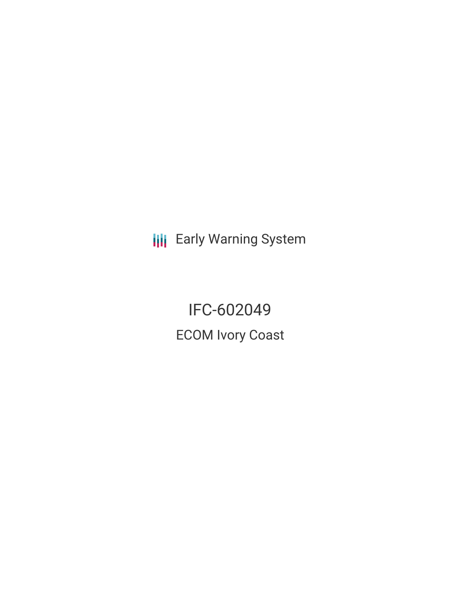**III** Early Warning System

IFC-602049 ECOM Ivory Coast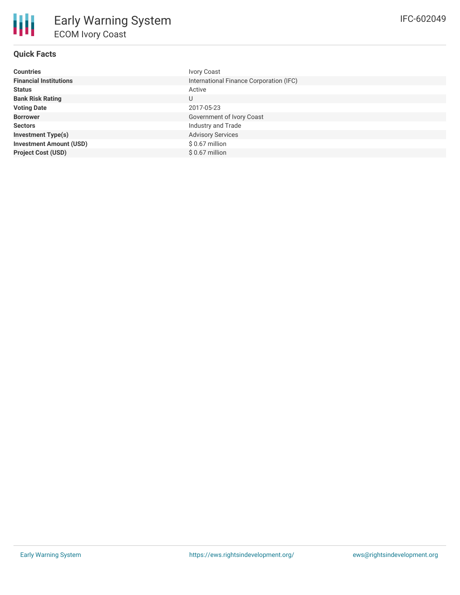## **Quick Facts**

冊

| <b>Countries</b>               | <b>Ivory Coast</b>                      |
|--------------------------------|-----------------------------------------|
| <b>Financial Institutions</b>  | International Finance Corporation (IFC) |
| <b>Status</b>                  | Active                                  |
| <b>Bank Risk Rating</b>        | U                                       |
| <b>Voting Date</b>             | 2017-05-23                              |
| <b>Borrower</b>                | Government of Ivory Coast               |
| <b>Sectors</b>                 | Industry and Trade                      |
| <b>Investment Type(s)</b>      | <b>Advisory Services</b>                |
| <b>Investment Amount (USD)</b> | \$ 0.67 million                         |
| <b>Project Cost (USD)</b>      | $$0.67$ million                         |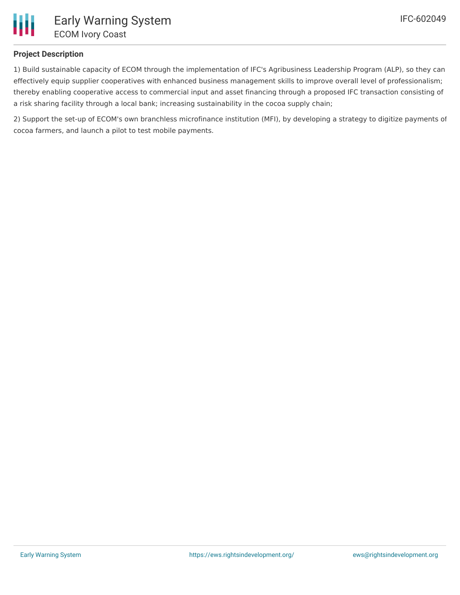

## **Project Description**

1) Build sustainable capacity of ECOM through the implementation of IFC's Agribusiness Leadership Program (ALP), so they can effectively equip supplier cooperatives with enhanced business management skills to improve overall level of professionalism; thereby enabling cooperative access to commercial input and asset financing through a proposed IFC transaction consisting of a risk sharing facility through a local bank; increasing sustainability in the cocoa supply chain;

2) Support the set-up of ECOM's own branchless microfinance institution (MFI), by developing a strategy to digitize payments of cocoa farmers, and launch a pilot to test mobile payments.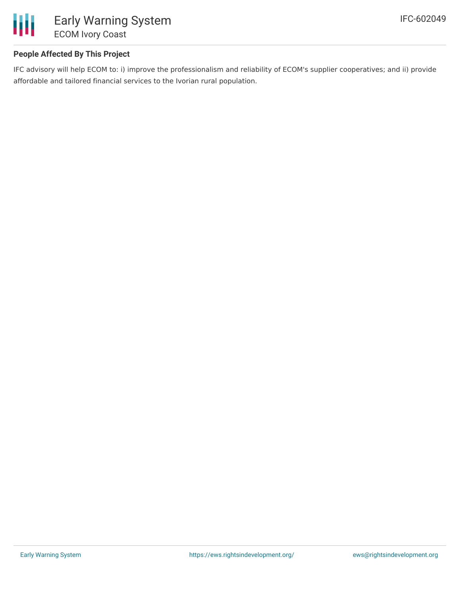

## **People Affected By This Project**

IFC advisory will help ECOM to: i) improve the professionalism and reliability of ECOM's supplier cooperatives; and ii) provide affordable and tailored financial services to the Ivorian rural population.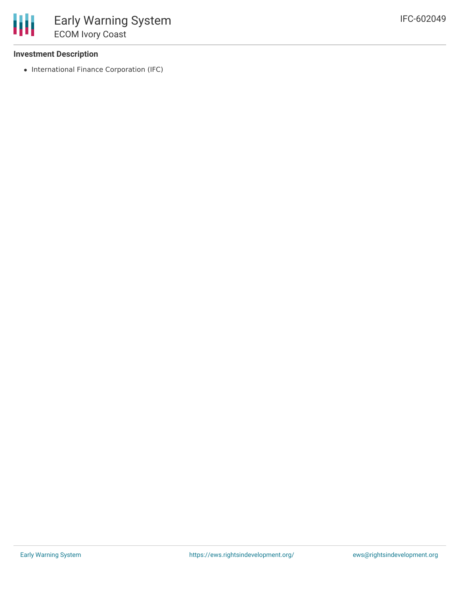### **Investment Description**

• International Finance Corporation (IFC)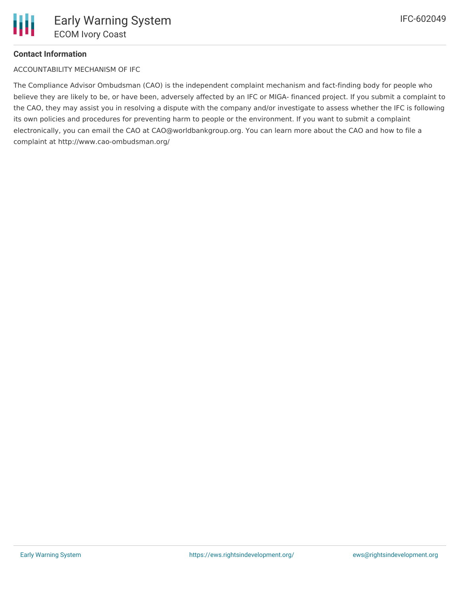# **Contact Information**

ACCOUNTABILITY MECHANISM OF IFC

The Compliance Advisor Ombudsman (CAO) is the independent complaint mechanism and fact-finding body for people who believe they are likely to be, or have been, adversely affected by an IFC or MIGA- financed project. If you submit a complaint to the CAO, they may assist you in resolving a dispute with the company and/or investigate to assess whether the IFC is following its own policies and procedures for preventing harm to people or the environment. If you want to submit a complaint electronically, you can email the CAO at CAO@worldbankgroup.org. You can learn more about the CAO and how to file a complaint at http://www.cao-ombudsman.org/